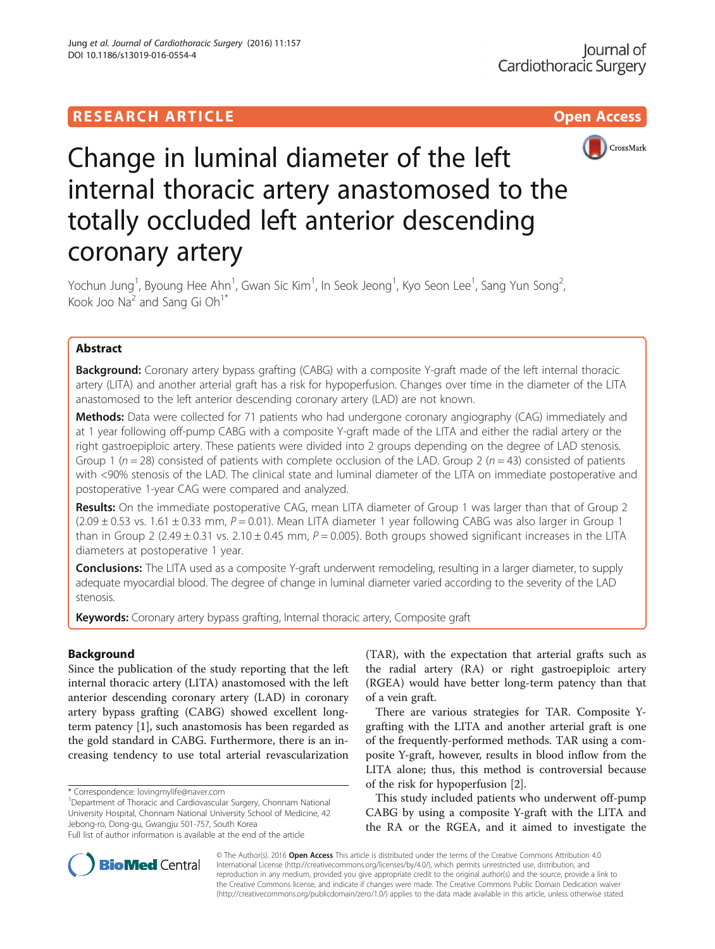

# Change in luminal diameter of the left internal thoracic artery anastomosed to the totally occluded left anterior descending coronary artery

Yochun Jung<sup>1</sup>, Byoung Hee Ahn<sup>1</sup>, Gwan Sic Kim<sup>1</sup>, In Seok Jeong<sup>1</sup>, Kyo Seon Lee<sup>1</sup>, Sang Yun Song<sup>2</sup> , Kook Joo Na<sup>2</sup> and Sang Gi Oh<sup>1\*</sup>

# Abstract

**Background:** Coronary artery bypass grafting (CABG) with a composite Y-graft made of the left internal thoracic artery (LITA) and another arterial graft has a risk for hypoperfusion. Changes over time in the diameter of the LITA anastomosed to the left anterior descending coronary artery (LAD) are not known.

**Methods:** Data were collected for 71 patients who had undergone coronary angiography (CAG) immediately and at 1 year following off-pump CABG with a composite Y-graft made of the LITA and either the radial artery or the right gastroepiploic artery. These patients were divided into 2 groups depending on the degree of LAD stenosis. Group 1 ( $n = 28$ ) consisted of patients with complete occlusion of the LAD. Group 2 ( $n = 43$ ) consisted of patients with <90% stenosis of the LAD. The clinical state and luminal diameter of the LITA on immediate postoperative and postoperative 1-year CAG were compared and analyzed.

Results: On the immediate postoperative CAG, mean LITA diameter of Group 1 was larger than that of Group 2  $(2.09 \pm 0.53 \text{ vs. } 1.61 \pm 0.33 \text{ mm}, P = 0.01)$ . Mean LITA diameter 1 year following CABG was also larger in Group 1 than in Group 2 (2.49  $\pm$  0.31 vs. 2.10  $\pm$  0.45 mm, P = 0.005). Both groups showed significant increases in the LITA diameters at postoperative 1 year.

**Conclusions:** The LITA used as a composite Y-graft underwent remodeling, resulting in a larger diameter, to supply adequate myocardial blood. The degree of change in luminal diameter varied according to the severity of the LAD stenosis.

Keywords: Coronary artery bypass grafting, Internal thoracic artery, Composite graft

## Background

Since the publication of the study reporting that the left internal thoracic artery (LITA) anastomosed with the left anterior descending coronary artery (LAD) in coronary artery bypass grafting (CABG) showed excellent longterm patency [[1\]](#page-5-0), such anastomosis has been regarded as the gold standard in CABG. Furthermore, there is an increasing tendency to use total arterial revascularization

\* Correspondence: [lovingmylife@naver.com](mailto:lovingmylife@naver.com) <sup>1</sup>

(TAR), with the expectation that arterial grafts such as the radial artery (RA) or right gastroepiploic artery (RGEA) would have better long-term patency than that of a vein graft.

There are various strategies for TAR. Composite Ygrafting with the LITA and another arterial graft is one of the frequently-performed methods. TAR using a composite Y-graft, however, results in blood inflow from the LITA alone; thus, this method is controversial because of the risk for hypoperfusion [\[2](#page-5-0)].

This study included patients who underwent off-pump CABG by using a composite Y-graft with the LITA and the RA or the RGEA, and it aimed to investigate the



© The Author(s). 2016 Open Access This article is distributed under the terms of the Creative Commons Attribution 4.0 International License [\(http://creativecommons.org/licenses/by/4.0/](http://creativecommons.org/licenses/by/4.0/)), which permits unrestricted use, distribution, and reproduction in any medium, provided you give appropriate credit to the original author(s) and the source, provide a link to the Creative Commons license, and indicate if changes were made. The Creative Commons Public Domain Dedication waiver [\(http://creativecommons.org/publicdomain/zero/1.0/](http://creativecommons.org/publicdomain/zero/1.0/)) applies to the data made available in this article, unless otherwise stated.

<sup>&</sup>lt;sup>1</sup>Department of Thoracic and Cardiovascular Surgery, Chonnam National University Hospital, Chonnam National University School of Medicine, 42 Jebong-ro, Dong-gu, Gwangju 501-757, South Korea Full list of author information is available at the end of the article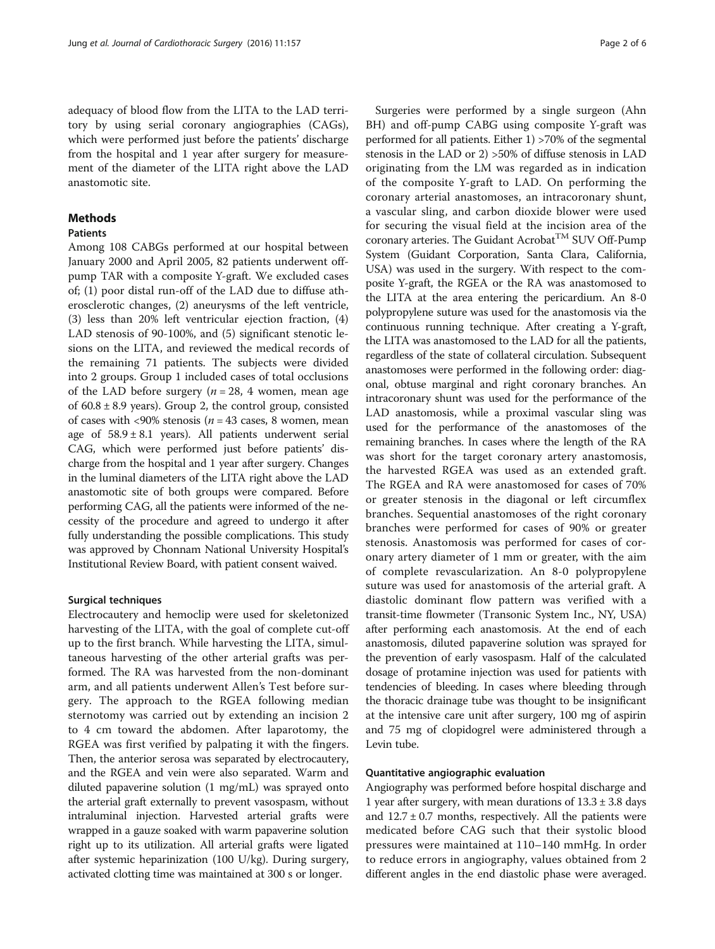adequacy of blood flow from the LITA to the LAD territory by using serial coronary angiographies (CAGs), which were performed just before the patients' discharge from the hospital and 1 year after surgery for measurement of the diameter of the LITA right above the LAD anastomotic site.

## Methods

## Patients

Among 108 CABGs performed at our hospital between January 2000 and April 2005, 82 patients underwent offpump TAR with a composite Y-graft. We excluded cases of; (1) poor distal run-off of the LAD due to diffuse atherosclerotic changes, (2) aneurysms of the left ventricle, (3) less than 20% left ventricular ejection fraction, (4) LAD stenosis of 90-100%, and (5) significant stenotic lesions on the LITA, and reviewed the medical records of the remaining 71 patients. The subjects were divided into 2 groups. Group 1 included cases of total occlusions of the LAD before surgery ( $n = 28$ , 4 women, mean age of  $60.8 \pm 8.9$  years). Group 2, the control group, consisted of cases with <90% stenosis ( $n = 43$  cases, 8 women, mean age of  $58.9 \pm 8.1$  years). All patients underwent serial CAG, which were performed just before patients' discharge from the hospital and 1 year after surgery. Changes in the luminal diameters of the LITA right above the LAD anastomotic site of both groups were compared. Before performing CAG, all the patients were informed of the necessity of the procedure and agreed to undergo it after fully understanding the possible complications. This study was approved by Chonnam National University Hospital's Institutional Review Board, with patient consent waived.

### Surgical techniques

Electrocautery and hemoclip were used for skeletonized harvesting of the LITA, with the goal of complete cut-off up to the first branch. While harvesting the LITA, simultaneous harvesting of the other arterial grafts was performed. The RA was harvested from the non-dominant arm, and all patients underwent Allen's Test before surgery. The approach to the RGEA following median sternotomy was carried out by extending an incision 2 to 4 cm toward the abdomen. After laparotomy, the RGEA was first verified by palpating it with the fingers. Then, the anterior serosa was separated by electrocautery, and the RGEA and vein were also separated. Warm and diluted papaverine solution (1 mg/mL) was sprayed onto the arterial graft externally to prevent vasospasm, without intraluminal injection. Harvested arterial grafts were wrapped in a gauze soaked with warm papaverine solution right up to its utilization. All arterial grafts were ligated after systemic heparinization (100 U/kg). During surgery, activated clotting time was maintained at 300 s or longer.

Surgeries were performed by a single surgeon (Ahn BH) and off-pump CABG using composite Y-graft was performed for all patients. Either 1) >70% of the segmental stenosis in the LAD or 2) >50% of diffuse stenosis in LAD originating from the LM was regarded as in indication of the composite Y-graft to LAD. On performing the coronary arterial anastomoses, an intracoronary shunt, a vascular sling, and carbon dioxide blower were used for securing the visual field at the incision area of the coronary arteries. The Guidant Acrobat $^{TM}$  SUV Off-Pump System (Guidant Corporation, Santa Clara, California, USA) was used in the surgery. With respect to the composite Y-graft, the RGEA or the RA was anastomosed to the LITA at the area entering the pericardium. An 8-0 polypropylene suture was used for the anastomosis via the continuous running technique. After creating a Y-graft, the LITA was anastomosed to the LAD for all the patients, regardless of the state of collateral circulation. Subsequent anastomoses were performed in the following order: diagonal, obtuse marginal and right coronary branches. An intracoronary shunt was used for the performance of the LAD anastomosis, while a proximal vascular sling was used for the performance of the anastomoses of the remaining branches. In cases where the length of the RA was short for the target coronary artery anastomosis, the harvested RGEA was used as an extended graft. The RGEA and RA were anastomosed for cases of 70% or greater stenosis in the diagonal or left circumflex branches. Sequential anastomoses of the right coronary branches were performed for cases of 90% or greater stenosis. Anastomosis was performed for cases of coronary artery diameter of 1 mm or greater, with the aim of complete revascularization. An 8-0 polypropylene suture was used for anastomosis of the arterial graft. A diastolic dominant flow pattern was verified with a transit-time flowmeter (Transonic System Inc., NY, USA) after performing each anastomosis. At the end of each anastomosis, diluted papaverine solution was sprayed for the prevention of early vasospasm. Half of the calculated dosage of protamine injection was used for patients with tendencies of bleeding. In cases where bleeding through the thoracic drainage tube was thought to be insignificant at the intensive care unit after surgery, 100 mg of aspirin and 75 mg of clopidogrel were administered through a Levin tube.

## Quantitative angiographic evaluation

Angiography was performed before hospital discharge and 1 year after surgery, with mean durations of  $13.3 \pm 3.8$  days and  $12.7 \pm 0.7$  months, respectively. All the patients were medicated before CAG such that their systolic blood pressures were maintained at 110–140 mmHg. In order to reduce errors in angiography, values obtained from 2 different angles in the end diastolic phase were averaged.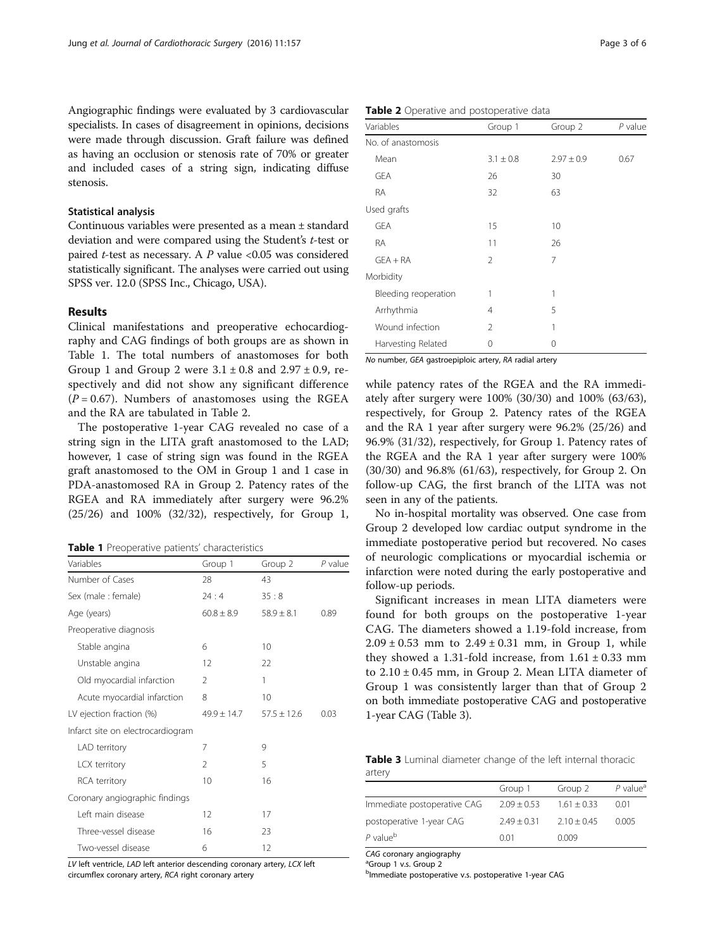Angiographic findings were evaluated by 3 cardiovascular specialists. In cases of disagreement in opinions, decisions were made through discussion. Graft failure was defined as having an occlusion or stenosis rate of 70% or greater and included cases of a string sign, indicating diffuse stenosis.

## Statistical analysis

Continuous variables were presented as a mean ± standard deviation and were compared using the Student's t-test or paired  $t$ -test as necessary. A  $P$  value <0.05 was considered statistically significant. The analyses were carried out using SPSS ver. 12.0 (SPSS Inc., Chicago, USA).

## Results

Clinical manifestations and preoperative echocardiography and CAG findings of both groups are as shown in Table 1. The total numbers of anastomoses for both Group 1 and Group 2 were  $3.1 \pm 0.8$  and  $2.97 \pm 0.9$ , respectively and did not show any significant difference  $(P = 0.67)$ . Numbers of anastomoses using the RGEA and the RA are tabulated in Table 2.

The postoperative 1-year CAG revealed no case of a string sign in the LITA graft anastomosed to the LAD; however, 1 case of string sign was found in the RGEA graft anastomosed to the OM in Group 1 and 1 case in PDA-anastomosed RA in Group 2. Patency rates of the RGEA and RA immediately after surgery were 96.2% (25/26) and 100% (32/32), respectively, for Group 1,

| Variables                         | Group 1         | Group 2         | P value |
|-----------------------------------|-----------------|-----------------|---------|
| Number of Cases                   | 28              | 43              |         |
| Sex (male: female)                | 74:4            | 35:8            |         |
| Age (years)                       | $60.8 \pm 8.9$  | $58.9 \pm 8.1$  | 0.89    |
| Preoperative diagnosis            |                 |                 |         |
| Stable angina                     | 6               | 10              |         |
| Unstable angina                   | 12              | 22              |         |
| Old myocardial infarction         | 2               | 1               |         |
| Acute myocardial infarction       | 8               | 10              |         |
| LV ejection fraction (%)          | $49.9 \pm 14.7$ | $57.5 \pm 12.6$ | 0.03    |
| Infarct site on electrocardiogram |                 |                 |         |
| LAD territory                     | 7               | 9               |         |
| LCX territory                     | $\mathfrak{D}$  | 5               |         |
| RCA territory                     | 10              | 16              |         |
| Coronary angiographic findings    |                 |                 |         |
| Left main disease                 | 12              | 17              |         |
| Three-vessel disease              | 16              | 23              |         |
| Two-vessel disease                | 6               | 12              |         |

LV left ventricle, LAD left anterior descending coronary artery, LCX left circumflex coronary artery, RCA right coronary artery

| Variables            | Group 1        | Group 2        | $P$ value |
|----------------------|----------------|----------------|-----------|
| No. of anastomosis   |                |                |           |
| Mean                 | $3.1 \pm 0.8$  | $2.97 \pm 0.9$ | 0.67      |
| <b>GEA</b>           | 26             | 30             |           |
| <b>RA</b>            | 32             | 63             |           |
| Used grafts          |                |                |           |
| <b>GEA</b>           | 15             | 10             |           |
| <b>RA</b>            | 11             | 26             |           |
| $GEA + RA$           | 2              | 7              |           |
| Morbidity            |                |                |           |
| Bleeding reoperation | 1              | 1              |           |
| Arrhythmia           | 4              | 5              |           |
| Wound infection      | $\mathfrak{D}$ | 1              |           |
| Harvesting Related   | 0              | 0              |           |

No number, GEA gastroepiploic artery, RA radial artery

Table 2 Operative and postoperative data

while patency rates of the RGEA and the RA immediately after surgery were 100% (30/30) and 100% (63/63), respectively, for Group 2. Patency rates of the RGEA and the RA 1 year after surgery were 96.2% (25/26) and 96.9% (31/32), respectively, for Group 1. Patency rates of the RGEA and the RA 1 year after surgery were 100% (30/30) and 96.8% (61/63), respectively, for Group 2. On follow-up CAG, the first branch of the LITA was not seen in any of the patients.

No in-hospital mortality was observed. One case from Group 2 developed low cardiac output syndrome in the immediate postoperative period but recovered. No cases of neurologic complications or myocardial ischemia or infarction were noted during the early postoperative and follow-up periods.

Significant increases in mean LITA diameters were found for both groups on the postoperative 1-year CAG. The diameters showed a 1.19-fold increase, from  $2.09 \pm 0.53$  mm to  $2.49 \pm 0.31$  mm, in Group 1, while they showed a 1.31-fold increase, from  $1.61 \pm 0.33$  mm to 2.10 ± 0.45 mm, in Group 2. Mean LITA diameter of Group 1 was consistently larger than that of Group 2 on both immediate postoperative CAG and postoperative 1-year CAG (Table 3).

Table 3 Luminal diameter change of the left internal thoracic artery

|                             | Group 1       | Group 2       | $P$ value <sup>a</sup> |
|-----------------------------|---------------|---------------|------------------------|
| Immediate postoperative CAG | $2.09 + 0.53$ | $1.61 + 0.33$ | 001                    |
| postoperative 1-year CAG    | $7.49 + 0.31$ | $2.10 + 0.45$ | 0.005                  |
| $P$ value <sup>b</sup>      | 001           | 0.009         |                        |

CAG coronary angiography

<sup>a</sup>Group 1 v.s. Group 2

bImmediate postoperative v.s. postoperative 1-year CAG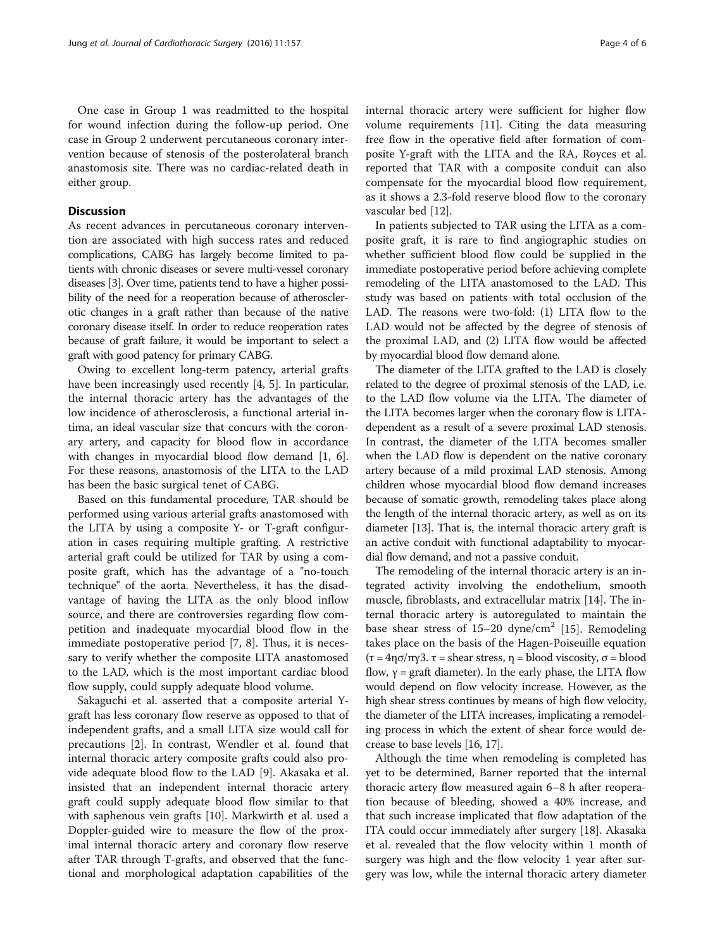One case in Group 1 was readmitted to the hospital for wound infection during the follow-up period. One case in Group 2 underwent percutaneous coronary intervention because of stenosis of the posterolateral branch anastomosis site. There was no cardiac-related death in either group.

## **Discussion**

As recent advances in percutaneous coronary intervention are associated with high success rates and reduced complications, CABG has largely become limited to patients with chronic diseases or severe multi-vessel coronary diseases [\[3\]](#page-5-0). Over time, patients tend to have a higher possibility of the need for a reoperation because of atherosclerotic changes in a graft rather than because of the native coronary disease itself. In order to reduce reoperation rates because of graft failure, it would be important to select a graft with good patency for primary CABG.

Owing to excellent long-term patency, arterial grafts have been increasingly used recently [[4, 5](#page-5-0)]. In particular, the internal thoracic artery has the advantages of the low incidence of atherosclerosis, a functional arterial intima, an ideal vascular size that concurs with the coronary artery, and capacity for blood flow in accordance with changes in myocardial blood flow demand [[1, 6](#page-5-0)]. For these reasons, anastomosis of the LITA to the LAD has been the basic surgical tenet of CABG.

Based on this fundamental procedure, TAR should be performed using various arterial grafts anastomosed with the LITA by using a composite Y- or T-graft configuration in cases requiring multiple grafting. A restrictive arterial graft could be utilized for TAR by using a composite graft, which has the advantage of a "no-touch technique" of the aorta. Nevertheless, it has the disadvantage of having the LITA as the only blood inflow source, and there are controversies regarding flow competition and inadequate myocardial blood flow in the immediate postoperative period [\[7](#page-5-0), [8\]](#page-5-0). Thus, it is necessary to verify whether the composite LITA anastomosed to the LAD, which is the most important cardiac blood flow supply, could supply adequate blood volume.

Sakaguchi et al. asserted that a composite arterial Ygraft has less coronary flow reserve as opposed to that of independent grafts, and a small LITA size would call for precautions [[2\]](#page-5-0). In contrast, Wendler et al. found that internal thoracic artery composite grafts could also provide adequate blood flow to the LAD [\[9](#page-5-0)]. Akasaka et al. insisted that an independent internal thoracic artery graft could supply adequate blood flow similar to that with saphenous vein grafts [\[10](#page-5-0)]. Markwirth et al. used a Doppler-guided wire to measure the flow of the proximal internal thoracic artery and coronary flow reserve after TAR through T-grafts, and observed that the functional and morphological adaptation capabilities of the internal thoracic artery were sufficient for higher flow volume requirements [\[11](#page-5-0)]. Citing the data measuring free flow in the operative field after formation of composite Y-graft with the LITA and the RA, Royces et al. reported that TAR with a composite conduit can also compensate for the myocardial blood flow requirement, as it shows a 2.3-fold reserve blood flow to the coronary vascular bed [[12](#page-5-0)].

In patients subjected to TAR using the LITA as a composite graft, it is rare to find angiographic studies on whether sufficient blood flow could be supplied in the immediate postoperative period before achieving complete remodeling of the LITA anastomosed to the LAD. This study was based on patients with total occlusion of the LAD. The reasons were two-fold: (1) LITA flow to the LAD would not be affected by the degree of stenosis of the proximal LAD, and (2) LITA flow would be affected by myocardial blood flow demand alone.

The diameter of the LITA grafted to the LAD is closely related to the degree of proximal stenosis of the LAD, i.e. to the LAD flow volume via the LITA. The diameter of the LITA becomes larger when the coronary flow is LITAdependent as a result of a severe proximal LAD stenosis. In contrast, the diameter of the LITA becomes smaller when the LAD flow is dependent on the native coronary artery because of a mild proximal LAD stenosis. Among children whose myocardial blood flow demand increases because of somatic growth, remodeling takes place along the length of the internal thoracic artery, as well as on its diameter [\[13\]](#page-5-0). That is, the internal thoracic artery graft is an active conduit with functional adaptability to myocardial flow demand, and not a passive conduit.

The remodeling of the internal thoracic artery is an integrated activity involving the endothelium, smooth muscle, fibroblasts, and extracellular matrix [[14\]](#page-5-0). The internal thoracic artery is autoregulated to maintain the base shear stress of  $15-20$  dyne/cm<sup>2</sup> [\[15](#page-5-0)]. Remodeling takes place on the basis of the Hagen-Poiseuille equation (τ = 4ησ/πγ3. τ = shear stress, η = blood viscosity, σ = blood flow,  $\gamma$  = graft diameter). In the early phase, the LITA flow would depend on flow velocity increase. However, as the high shear stress continues by means of high flow velocity, the diameter of the LITA increases, implicating a remodeling process in which the extent of shear force would decrease to base levels [\[16, 17](#page-5-0)].

Although the time when remodeling is completed has yet to be determined, Barner reported that the internal thoracic artery flow measured again 6–8 h after reoperation because of bleeding, showed a 40% increase, and that such increase implicated that flow adaptation of the ITA could occur immediately after surgery [\[18](#page-5-0)]. Akasaka et al. revealed that the flow velocity within 1 month of surgery was high and the flow velocity 1 year after surgery was low, while the internal thoracic artery diameter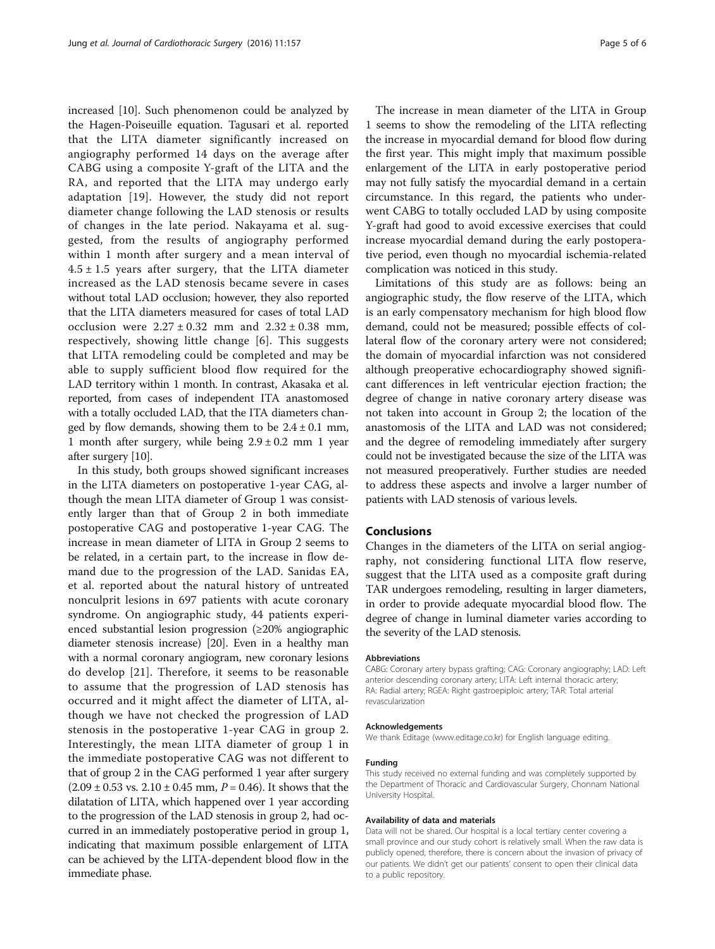increased [[10\]](#page-5-0). Such phenomenon could be analyzed by the Hagen-Poiseuille equation. Tagusari et al. reported that the LITA diameter significantly increased on angiography performed 14 days on the average after CABG using a composite Y-graft of the LITA and the RA, and reported that the LITA may undergo early adaptation [[19\]](#page-5-0). However, the study did not report diameter change following the LAD stenosis or results of changes in the late period. Nakayama et al. suggested, from the results of angiography performed within 1 month after surgery and a mean interval of  $4.5 \pm 1.5$  years after surgery, that the LITA diameter increased as the LAD stenosis became severe in cases without total LAD occlusion; however, they also reported that the LITA diameters measured for cases of total LAD occlusion were  $2.27 \pm 0.32$  mm and  $2.32 \pm 0.38$  mm, respectively, showing little change [[6](#page-5-0)]. This suggests that LITA remodeling could be completed and may be able to supply sufficient blood flow required for the LAD territory within 1 month. In contrast, Akasaka et al. reported, from cases of independent ITA anastomosed with a totally occluded LAD, that the ITA diameters changed by flow demands, showing them to be  $2.4 \pm 0.1$  mm, 1 month after surgery, while being  $2.9 \pm 0.2$  mm 1 year after surgery [\[10\]](#page-5-0).

In this study, both groups showed significant increases in the LITA diameters on postoperative 1-year CAG, although the mean LITA diameter of Group 1 was consistently larger than that of Group 2 in both immediate postoperative CAG and postoperative 1-year CAG. The increase in mean diameter of LITA in Group 2 seems to be related, in a certain part, to the increase in flow demand due to the progression of the LAD. Sanidas EA, et al. reported about the natural history of untreated nonculprit lesions in 697 patients with acute coronary syndrome. On angiographic study, 44 patients experienced substantial lesion progression (≥20% angiographic diameter stenosis increase) [\[20\]](#page-5-0). Even in a healthy man with a normal coronary angiogram, new coronary lesions do develop [\[21\]](#page-5-0). Therefore, it seems to be reasonable to assume that the progression of LAD stenosis has occurred and it might affect the diameter of LITA, although we have not checked the progression of LAD stenosis in the postoperative 1-year CAG in group 2. Interestingly, the mean LITA diameter of group 1 in the immediate postoperative CAG was not different to that of group 2 in the CAG performed 1 year after surgery  $(2.09 \pm 0.53 \text{ vs. } 2.10 \pm 0.45 \text{ mm}, P = 0.46)$ . It shows that the dilatation of LITA, which happened over 1 year according to the progression of the LAD stenosis in group 2, had occurred in an immediately postoperative period in group 1, indicating that maximum possible enlargement of LITA can be achieved by the LITA-dependent blood flow in the immediate phase.

The increase in mean diameter of the LITA in Group 1 seems to show the remodeling of the LITA reflecting the increase in myocardial demand for blood flow during the first year. This might imply that maximum possible enlargement of the LITA in early postoperative period may not fully satisfy the myocardial demand in a certain circumstance. In this regard, the patients who underwent CABG to totally occluded LAD by using composite Y-graft had good to avoid excessive exercises that could increase myocardial demand during the early postoperative period, even though no myocardial ischemia-related complication was noticed in this study.

Limitations of this study are as follows: being an angiographic study, the flow reserve of the LITA, which is an early compensatory mechanism for high blood flow demand, could not be measured; possible effects of collateral flow of the coronary artery were not considered; the domain of myocardial infarction was not considered although preoperative echocardiography showed significant differences in left ventricular ejection fraction; the degree of change in native coronary artery disease was not taken into account in Group 2; the location of the anastomosis of the LITA and LAD was not considered; and the degree of remodeling immediately after surgery could not be investigated because the size of the LITA was not measured preoperatively. Further studies are needed to address these aspects and involve a larger number of patients with LAD stenosis of various levels.

## Conclusions

Changes in the diameters of the LITA on serial angiography, not considering functional LITA flow reserve, suggest that the LITA used as a composite graft during TAR undergoes remodeling, resulting in larger diameters, in order to provide adequate myocardial blood flow. The degree of change in luminal diameter varies according to the severity of the LAD stenosis.

#### **Abbreviations**

CABG: Coronary artery bypass grafting; CAG: Coronary angiography; LAD: Left anterior descending coronary artery; LITA: Left internal thoracic artery; RA: Radial artery; RGEA: Right gastroepiploic artery; TAR: Total arterial revascularization

#### Acknowledgements

We thank Editage [\(www.editage.co.kr](http://www.editage.co.kr)) for English language editing.

#### Funding

This study received no external funding and was completely supported by the Department of Thoracic and Cardiovascular Surgery, Chonnam National University Hospital.

#### Availability of data and materials

Data will not be shared. Our hospital is a local tertiary center covering a small province and our study cohort is relatively small. When the raw data is publicly opened, therefore, there is concern about the invasion of privacy of our patients. We didn't get our patients' consent to open their clinical data to a public repository.